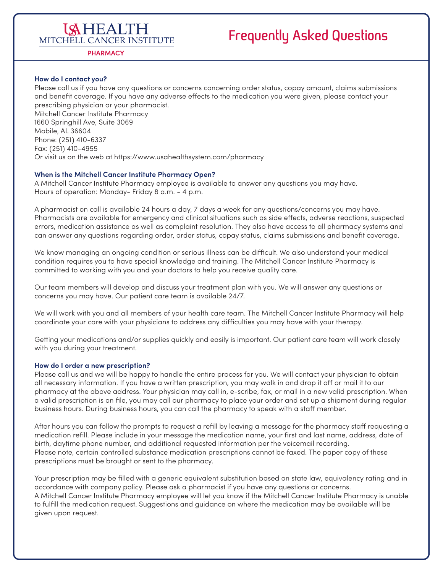### **ISHEALTH** MITCHELL CANCER INSTITUTE

## **Frequently Asked Questions**

**PHARMACY**

#### **How do I contact you?**

and benefit coverage. If you have any adverse effects to the medication you were given, please contact your Please call us if you have any questions or concerns concerning order status, copay amount, claims submissions prescribing physician or your pharmacist. Mitchell Cancer Institute Pharmacy 1660 Springhill Ave, Suite 3069 Mobile, AL 36604 Phone: (251) 410-6337 Fax: (251) 410-4955 Or visit us on the web at <https://www.usahealthsystem.com/pharmacy>

#### **When is the Mitchell Cancer Institute Pharmacy Open?**

A Mitchell Cancer Institute Pharmacy employee is available to answer any questions you may have. Hours of operation: Monday- Friday 8 a.m. - 4 p.m.

A pharmacist on call is available 24 hours a day, 7 days a week for any questions/concerns you may have. Pharmacists are available for emergency and clinical situations such as side efects, adverse reactions, suspected errors, medication assistance as well as complaint resolution. They also have access to all pharmacy systems and can answer any questions regarding order, order status, copay status, claims submissions and benefit coverage.

We know managing an ongoing condition or serious illness can be difficult. We also understand your medical condition requires you to have special knowledge and training. The Mitchell Cancer Institute Pharmacy is committed to working with you and your doctors to help you receive quality care.

Our team members will develop and discuss your treatment plan with you. We will answer any questions or concerns you may have. Our patient care team is available 24/7.

We will work with you and all members of your health care team. The Mitchell Cancer Institute Pharmacy will help coordinate your care with your physicians to address any difculties you may have with your therapy.

Getting your medications and/or supplies quickly and easily is important. Our patient care team will work closely with you during your treatment.

#### **How do I order a new prescription?**

 all necessary information. If you have a written prescription, you may walk in and drop it of or mail it to our Please call us and we will be happy to handle the entire process for you. We will contact your physician to obtain pharmacy at the above address. Your physician may call in, e-scribe, fax, or mail in a new valid prescription. When a valid prescription is on fle, you may call our pharmacy to place your order and set up a shipment during regular business hours. During business hours, you can call the pharmacy to speak with a staff member.

After hours you can follow the prompts to request a refill by leaving a message for the pharmacy staff requesting a medication refll. Please include in your message the medication name, your frst and last name, address, date of birth, daytime phone number, and additional requested information per the voicemail recording. Please note, certain controlled substance medication prescriptions cannot be faxed. The paper copy of these prescriptions must be brought or sent to the pharmacy.

Your prescription may be flled with a generic equivalent substitution based on state law, equivalency rating and in accordance with company policy. Please ask a pharmacist if you have any questions or concerns. A Mitchell Cancer Institute Pharmacy employee will let you know if the Mitchell Cancer Institute Pharmacy is unable to fulfll the medication request. Suggestions and guidance on where the medication may be available will be given upon request.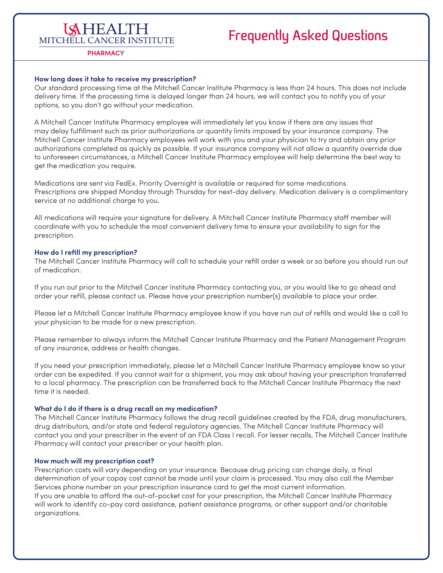### **ISHEALTH** MITCHELL CANCER INSTITUTE

## **Frequently Asked Questions**

#### **PHARMACY**

#### **How long does it take to receive my prescription?**

 delivery time. If the processing time is delayed longer than 24 hours, we will contact you to notify you of your Our standard processing time at the Mitchell Cancer Institute Pharmacy is less than 24 hours. This does not include options, so you don't go without your medication.

 to unforeseen circumstances, a Mitchell Cancer Institute Pharmacy employee will help determine the best way to A Mitchell Cancer Institute Pharmacy employee will immediately let you know if there are any issues that may delay fulfllment such as prior authorizations or quantity limits imposed by your insurance company. The Mitchell Cancer Institute Pharmacy employees will work with you and your physician to try and obtain any prior authorizations completed as quickly as possible. If your insurance company will not allow a quantity override due get the medication you require.

Medications are sent via FedEx. Priority Overnight is available or required for some medications. Prescriptions are shipped Monday through Thursday for next-day delivery. Medication delivery is a complimentary service at no additional charge to you.

 coordinate with you to schedule the most convenient delivery time to ensure your availability to sign for the All medications will require your signature for delivery. A Mitchell Cancer Institute Pharmacy staff member will prescription.

#### **How do I refll my prescription?**

The Mitchell Cancer Institute Pharmacy will call to schedule your refill order a week or so before you should run out of medication.

If you run out prior to the Mitchell Cancer Institute Pharmacy contacting you, or you would like to go ahead and order your refll, please contact us. Please have your prescription number(s) available to place your order.

Please let a Mitchell Cancer Institute Pharmacy employee know if you have run out of reflls and would like a call to your physician to be made for a new prescription.

Please remember to always inform the Mitchell Cancer Institute Pharmacy and the Patient Management Program of any insurance, address or health changes.

 order can be expedited. If you cannot wait for a shipment, you may ask about having your prescription transferred to a local pharmacy. The prescription can be transferred back to the Mitchell Cancer Institute Pharmacy the next If you need your prescription immediately, please let a Mitchell Cancer Institute Pharmacy employee know so your time it is needed.

#### **What do I do if there is a drug recall on my medication?**

The Mitchell Cancer Institute Pharmacy follows the drug recall guidelines created by the FDA, drug manufacturers, drug distributors, and/or state and federal regulatory agencies. The Mitchell Cancer Institute Pharmacy will contact you and your prescriber in the event of an FDA Class I recall. For lesser recalls, The Mitchell Cancer Institute Pharmacy will contact your prescriber or your health plan.

#### **How much will my prescription cost?**

 If you are unable to aford the out-of-pocket cost for your prescription, the Mitchell Cancer Institute Pharmacy Prescription costs will vary depending on your insurance. Because drug pricing can change daily, a fnal determination of your copay cost cannot be made until your claim is processed. You may also call the Member Services phone number on your prescription insurance card to get the most current information. will work to identify co-pay card assistance, patient assistance programs, or other support and/or charitable organizations.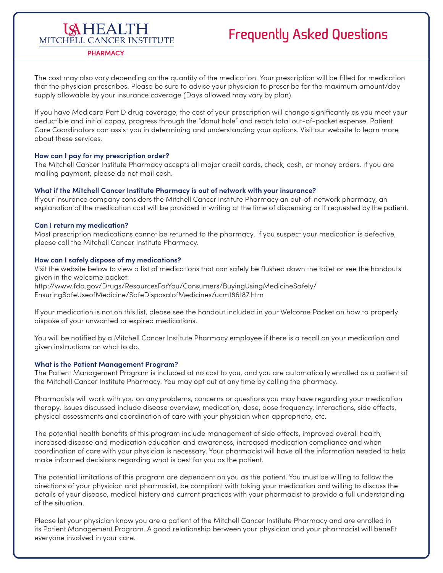### **LAHEALTH** MITCHELL CANCER INSTITUTE

## **Frequently Asked Questions**

**PHARMACY**

The cost may also vary depending on the quantity of the medication. Your prescription will be flled for medication that the physician prescribes. Please be sure to advise your physician to prescribe for the maximum amount/day supply allowable by your insurance coverage (Days allowed may vary by plan).

 If you have Medicare Part D drug coverage, the cost of your prescription will change signifcantly as you meet your deductible and initial copay, progress through the "donut hole" and reach total out-of-pocket expense. Patient Care Coordinators can assist you in determining and understanding your options. Visit our website to learn more about these services.

#### **How can I pay for my prescription order?**

The Mitchell Cancer Institute Pharmacy accepts all major credit cards, check, cash, or money orders. If you are mailing payment, please do not mail cash.

#### **What if the Mitchell Cancer Institute Pharmacy is out of network with your insurance?**

If your insurance company considers the Mitchell Cancer Institute Pharmacy an out-of-network pharmacy, an explanation of the medication cost will be provided in writing at the time of dispensing or if requested by the patient.

#### **Can I return my medication?**

Most prescription medications cannot be returned to the pharmacy. If you suspect your medication is defective, please call the Mitchell Cancer Institute Pharmacy.

#### **How can I safely dispose of my medications?**

Visit the website below to view a list of medications that can safely be fushed down the toilet or see the handouts given in the welcome packet:

<http://www.fda.gov/Drugs/ResourcesForYou/Consumers/BuyingUsingMedicineSafely>/ EnsuringSafeUseofMedicine/SafeDisposalofMedicines/ucm186187.htm

 If your medication is not on this list, please see the handout included in your Welcome Packet on how to properly dispose of your unwanted or expired medications.

You will be notifed by a Mitchell Cancer Institute Pharmacy employee if there is a recall on your medication and given instructions on what to do.

#### **What is the Patient Management Program?**

The Patient Management Program is included at no cost to you, and you are automatically enrolled as a patient of the Mitchell Cancer Institute Pharmacy. You may opt out at any time by calling the pharmacy.

Pharmacists will work with you on any problems, concerns or questions you may have regarding your medication therapy. Issues discussed include disease overview, medication, dose, dose frequency, interactions, side efects, physical assessments and coordination of care with your physician when appropriate, etc.

 make informed decisions regarding what is best for you as the patient. The potential health benefts of this program include management of side efects, improved overall health, increased disease and medication education and awareness, increased medication compliance and when coordination of care with your physician is necessary. Your pharmacist will have all the information needed to help

The potential limitations of this program are dependent on you as the patient. You must be willing to follow the directions of your physician and pharmacist, be compliant with taking your medication and willing to discuss the details of your disease, medical history and current practices with your pharmacist to provide a full understanding of the situation.

 its Patient Management Program. A good relationship between your physician and your pharmacist will beneft Please let your physician know you are a patient of the Mitchell Cancer Institute Pharmacy and are enrolled in everyone involved in your care.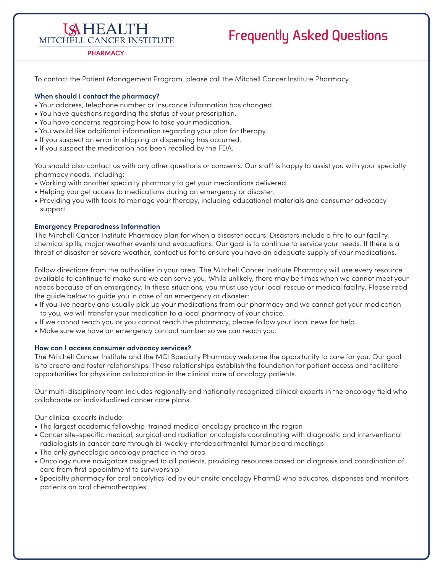## **Frequently Asked Questions**

### MITCHELL CANCER INSTITUTE **PHARMACY**

**ISHEALTH** 

To contact the Patient Management Program, please call the Mitchell Cancer Institute Pharmacy.

#### **When should I contact the pharmacy?**

- Your address, telephone number or insurance information has changed.
- You have questions regarding the status of your prescription.
- You have concerns regarding how to take your medication.
- You would like additional information regarding your plan for therapy.
- If you suspect an error in shipping or dispensing has occurred.
- If you suspect the medication has been recalled by the FDA.

You should also contact us with any other questions or concerns. Our staff is happy to assist you with your specialty pharmacy needs, including:

- Working with another specialty pharmacy to get your medications delivered.
- Helping you get access to medications during an emergency or disaster.
- Providing you with tools to manage your therapy, including educational materials and consumer advocacy support.

#### **Emergency Preparedness Information**

The Mitchell Cancer Institute Pharmacy plan for when a disaster occurs. Disasters include a fre to our facility, chemical spills, major weather events and evacuations. Our goal is to continue to service your needs. If there is a threat of disaster or severe weather, contact us for to ensure you have an adequate supply of your medications.

 available to continue to make sure we can serve you. While unlikely, there may be times when we cannot meet your Follow directions from the authorities in your area. The Mitchell Cancer Institute Pharmacy will use every resource needs because of an emergency. In these situations, you must use your local rescue or medical facility. Please read the guide below to guide you in case of an emergency or disaster:

- If you live nearby and usually pick up your medications from our pharmacy and we cannot get your medication to you, we will transfer your medication to a local pharmacy of your choice.
- If we cannot reach you or you cannot reach the pharmacy, please follow your local news for help.
- Make sure we have an emergency contact number so we can reach you.

#### **How can I access consumer advocacy services?**

 The Mitchell Cancer Institute and the MCI Specialty Pharmacy welcome the opportunity to care for you. Our goal is to create and foster relationships. These relationships establish the foundation for patient access and facilitate opportunities for physician collaboration in the clinical care of oncology patients.

Our multi-disciplinary team includes regionally and nationally recognized clinical experts in the oncology feld who collaborate on individualized cancer care plans.

Our clinical experts include:

- The largest academic fellowship-trained medical oncology practice in the region
- Cancer site-specifc medical, surgical and radiation oncologists coordinating with diagnostic and interventional radiologists in cancer care through bi-weekly interdepartmental tumor board meetings
- The only gynecologic oncology practice in the area
- Oncology nurse navigators assigned to all patients, providing resources based on diagnosis and coordination of care from frst appointment to survivorship
- • Specialty pharmacy for oral oncolytics led by our onsite oncology PharmD who educates, dispenses and monitors patients on oral chemotherapies